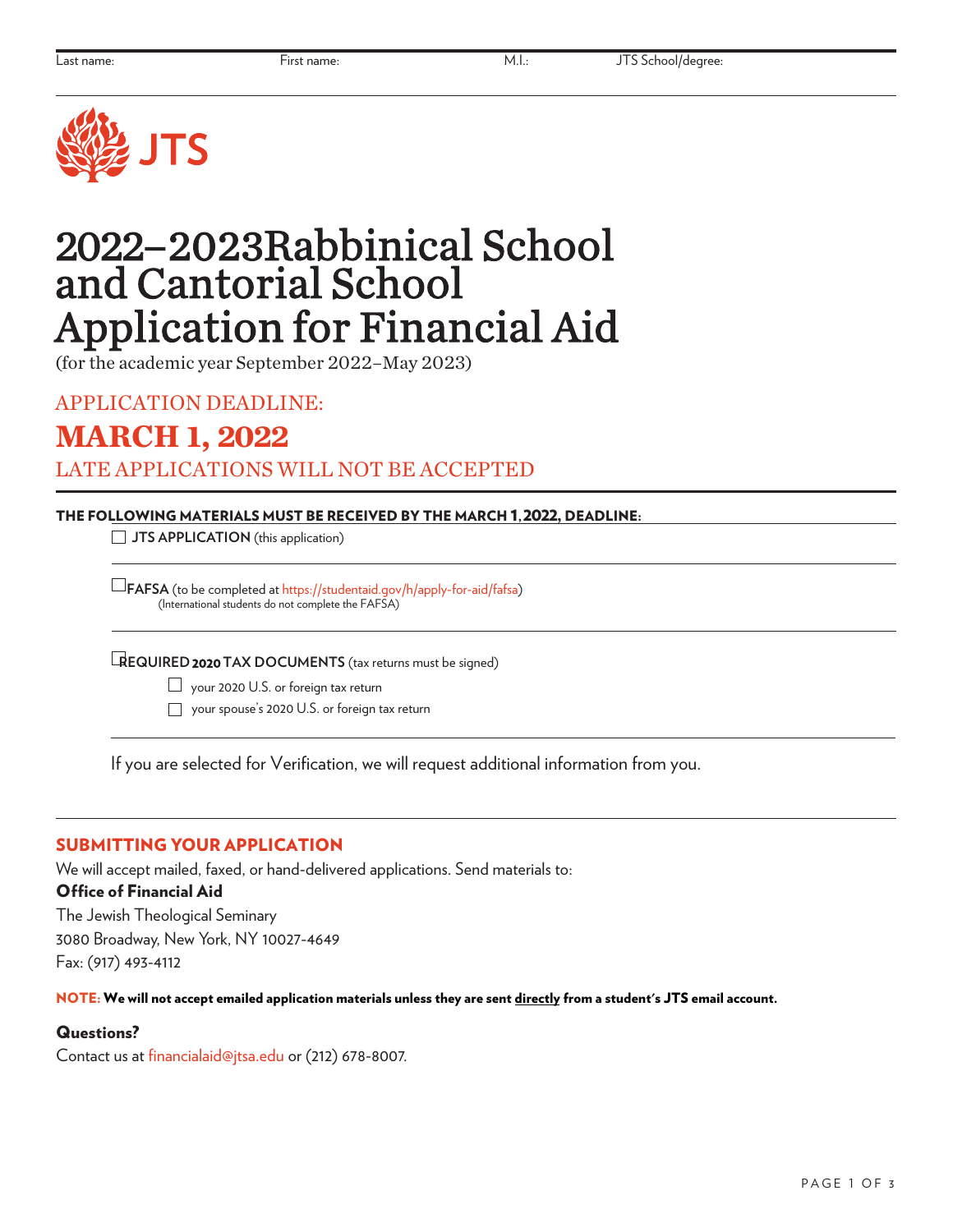

# 2022–2023 Rabbinical School and Cantorial School Application for Financial Aid

(for the academic year September 2022–May 2023)

APPLICATION DEADLINE:

**MARCH 1, 2022**

LATE APPLICATIONS WILL NOT BE ACCEPTED

### THE FOLLOWING MATERIALS MUST BE RECEIVED BY THE MARCH 1, 2022, DEADLINE:

**JTS APPLICATION** (this application)

 **FAFSA** (to be completed at <https://studentaid.gov/h/apply-for-aid/fafsa>) (International students do not complete the FAFSA)

**REQUIRED 2020TAX DOCUMENTS** (tax returns must be signed)

 $\Box$  your 2020 U.S. or foreign tax return

your spouse's 2020 U.S. or foreign tax return

If you are selected for Verification, we will request additional information from you.

## SUBMITTING YOUR APPLICATION

We will accept mailed, faxed, or hand-delivered applications. Send materials to:

### Office of Financial Aid

The Jewish Theological Seminary 3080 Broadway, New York, NY 10027-4649 Fax: (917) 493-4112

NOTE: We will not accept emailed application materials unless they are sent directly from a student's JTS email account.

## Questions?

Contact us at financialaid@jtsa.edu or (212) 678-8007.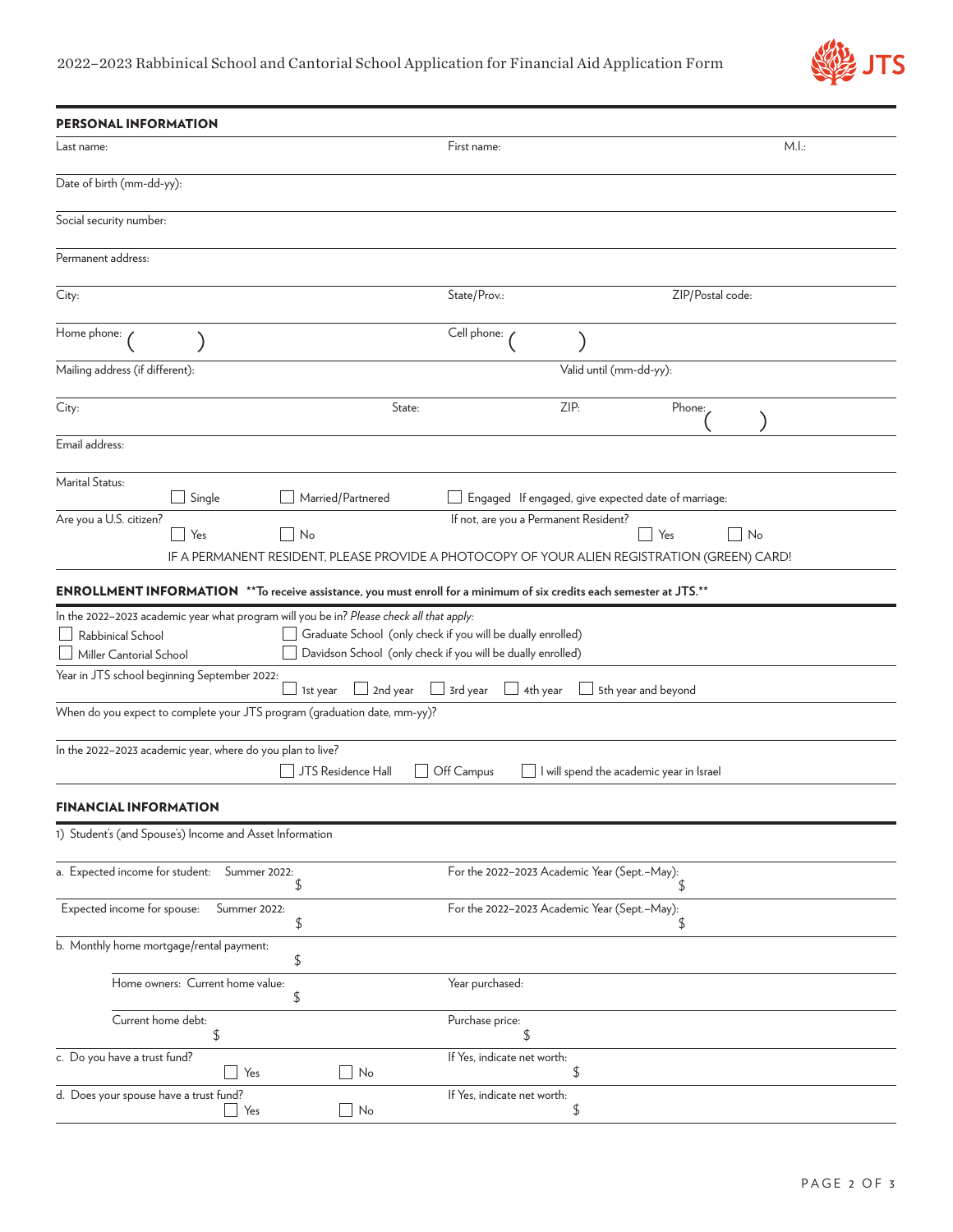

| <b>PERSONAL INFORMATION</b>                                                                                                                                                                              |                                                                                                                            |                                                     |  |
|----------------------------------------------------------------------------------------------------------------------------------------------------------------------------------------------------------|----------------------------------------------------------------------------------------------------------------------------|-----------------------------------------------------|--|
| Last name:                                                                                                                                                                                               | First name:                                                                                                                | M.l.:                                               |  |
| Date of birth (mm-dd-yy):                                                                                                                                                                                |                                                                                                                            |                                                     |  |
| Social security number:                                                                                                                                                                                  |                                                                                                                            |                                                     |  |
| Permanent address:                                                                                                                                                                                       |                                                                                                                            |                                                     |  |
| City:                                                                                                                                                                                                    | State/Prov.:                                                                                                               | ZIP/Postal code:                                    |  |
| Home phone:                                                                                                                                                                                              | Cell phone:                                                                                                                |                                                     |  |
| Mailing address (if different):                                                                                                                                                                          | Valid until (mm-dd-yy):                                                                                                    |                                                     |  |
| City:                                                                                                                                                                                                    | ZIP:<br>State:                                                                                                             | Phone:                                              |  |
| Email address:                                                                                                                                                                                           |                                                                                                                            |                                                     |  |
| Marital Status:<br>Single<br>Married/Partnered                                                                                                                                                           |                                                                                                                            | Engaged If engaged, give expected date of marriage: |  |
| Are you a U.S. citizen?<br>If not, are you a Permanent Resident?<br>Yes<br>No<br>  Yes<br>No<br>$\sim$ 1<br>IF A PERMANENT RESIDENT, PLEASE PROVIDE A PHOTOCOPY OF YOUR ALIEN REGISTRATION (GREEN) CARD! |                                                                                                                            |                                                     |  |
| ENROLLMENT INFORMATION ** To receive assistance, you must enroll for a minimum of six credits each semester at JTS.**                                                                                    |                                                                                                                            |                                                     |  |
| In the 2022-2023 academic year what program will you be in? Please check all that apply:<br>Rabbinical School<br>Miller Cantorial School                                                                 | Graduate School (only check if you will be dually enrolled)<br>Davidson School (only check if you will be dually enrolled) |                                                     |  |
| Year in JTS school beginning September 2022:<br>1st year                                                                                                                                                 | 2nd year<br>$\Box$ 3rd year<br>$\Box$ 4th year                                                                             | 5th year and beyond                                 |  |
| When do you expect to complete your JTS program (graduation date, mm-yy)?                                                                                                                                |                                                                                                                            |                                                     |  |
| In the 2022-2023 academic year, where do you plan to live?<br>JTS Residence Hall                                                                                                                         | Off Campus                                                                                                                 | I will spend the academic year in Israel            |  |
| <b>FINANCIAL INFORMATION</b>                                                                                                                                                                             |                                                                                                                            |                                                     |  |
| 1) Student's (and Spouse's) Income and Asset Information                                                                                                                                                 |                                                                                                                            |                                                     |  |
| a. Expected income for student: Summer 2022:<br>\$                                                                                                                                                       | For the 2022-2023 Academic Year (Sept.-May):                                                                               | \$                                                  |  |
| Expected income for spouse:<br>Summer 2022:<br>\$                                                                                                                                                        | For the 2022-2023 Academic Year (Sept.-May):                                                                               | \$                                                  |  |
| b. Monthly home mortgage/rental payment:<br>\$                                                                                                                                                           |                                                                                                                            |                                                     |  |
| Home owners: Current home value:<br>\$                                                                                                                                                                   | Year purchased:                                                                                                            |                                                     |  |
| Current home debt:<br>\$                                                                                                                                                                                 | Purchase price:<br>\$                                                                                                      |                                                     |  |
| c. Do you have a trust fund?<br>Yes<br>No                                                                                                                                                                | If Yes, indicate net worth:<br>\$                                                                                          |                                                     |  |
| d. Does your spouse have a trust fund?<br>Yes<br>No                                                                                                                                                      | If Yes, indicate net worth:<br>\$                                                                                          |                                                     |  |